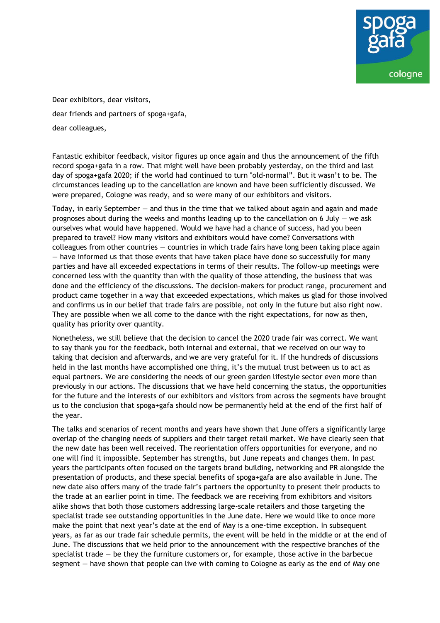

Dear exhibitors, dear visitors, dear friends and partners of spoga+gafa, dear colleagues,

Fantastic exhibitor feedback, visitor figures up once again and thus the announcement of the fifth record spoga+gafa in a row. That might well have been probably yesterday, on the third and last day of spoga+gafa 2020; if the world had continued to turn "old-normal". But it wasn't to be. The circumstances leading up to the cancellation are known and have been sufficiently discussed. We were prepared, Cologne was ready, and so were many of our exhibitors and visitors.

Today, in early September — and thus in the time that we talked about again and again and made prognoses about during the weeks and months leading up to the cancellation on 6 July  $-$  we ask ourselves what would have happened. Would we have had a chance of success, had you been prepared to travel? How many visitors and exhibitors would have come? Conversations with  $colle$ agues from other countries  $-$  countries in which trade fairs have long been taking place again — have informed us that those events that have taken place have done so successfully for many parties and have all exceeded expectations in terms of their results. The follow-up meetings were concerned less with the quantity than with the quality of those attending, the business that was done and the efficiency of the discussions. The decision-makers for product range, procurement and product came together in a way that exceeded expectations, which makes us glad for those involved and confirms us in our belief that trade fairs are possible, not only in the future but also right now. They are possible when we all come to the dance with the right expectations, for now as then, quality has priority over quantity.

Nonetheless, we still believe that the decision to cancel the 2020 trade fair was correct. We want to say thank you for the feedback, both internal and external, that we received on our way to taking that decision and afterwards, and we are very grateful for it. If the hundreds of discussions held in the last months have accomplished one thing, it's the mutual trust between us to act as equal partners. We are considering the needs of our green garden lifestyle sector even more than previously in our actions. The discussions that we have held concerning the status, the opportunities for the future and the interests of our exhibitors and visitors from across the segments have brought us to the conclusion that spoga+gafa should now be permanently held at the end of the first half of the year.

The talks and scenarios of recent months and years have shown that June offers a significantly large overlap of the changing needs of suppliers and their target retail market. We have clearly seen that the new date has been well received. The reorientation offers opportunities for everyone, and no one will find it impossible. September has strengths, but June repeats and changes them. In past years the participants often focused on the targets brand building, networking and PR alongside the presentation of products, and these special benefits of spoga+gafa are also available in June. The new date also offers many of the trade fair's partners the opportunity to present their products to the trade at an earlier point in time. The feedback we are receiving from exhibitors and visitors alike shows that both those customers addressing large-scale retailers and those targeting the specialist trade see outstanding opportunities in the June date. Here we would like to once more make the point that next year's date at the end of May is a one-time exception. In subsequent years, as far as our trade fair schedule permits, the event will be held in the middle or at the end of June. The discussions that we held prior to the announcement with the respective branches of the specialist trade  $-$  be they the furniture customers or, for example, those active in the barbecue segment — have shown that people can live with coming to Cologne as early as the end of May one